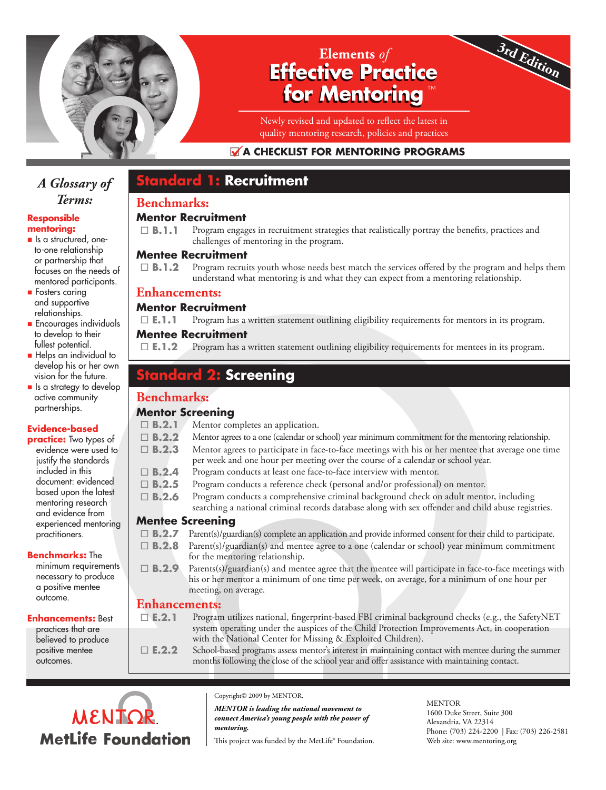

## **Effective Practice for Mentoring Elements** *of* ™

Newly revised and updated to reflect the latest in quality mentoring research, policies and practices

## **A CHECKLIST FOR MENTORING PROGRAMS**

## *A Glossary of Terms:*

#### **Responsible mentoring:**

- **n** Is a structured, oneto-one relationship or partnership that focuses on the needs of mentored participants.
- $\blacksquare$  Fosters caring and supportive relationships.
- **Encourages individuals** to develop to their fullest potential.
- Helps an individual to develop his or her own vision for the future.
- $\blacksquare$  Is a strategy to develop active community partnerships.

## **Evidence-based**

**practice:** Two types of evidence were used to justify the standards included in this document: evidenced based upon the latest mentoring research and evidence from experienced mentoring practitioners.

#### **Benchmarks:** The

minimum requirements necessary to produce a positive mentee outcome.

#### **Enhancements:** Best

practices that are believed to produce positive mentee outcomes.

# **Benchmarks:**

### **Mentor Recruitment**

**Standard 1: Recruitment**

□ **B.1.1** Program engages in recruitment strategies that realistically portray the benefits, practices and challenges of mentoring in the program.

### **Mentee Recruitment**

□ **B.1.2** Program recruits youth whose needs best match the services offered by the program and helps them understand what mentoring is and what they can expect from a mentoring relationship.

### **Enhancements:**

### **Mentor Recruitment**

 $\square$  **E.1.1** Program has a written statement outlining eligibility requirements for mentors in its program.

### **Mentee Recruitment**

 $\square$  **E.1.2** Program has a written statement outlining eligibility requirements for mentees in its program.

## **Screening**

## **Benchmarks:**

### **Mentor Screening**

| $\Box$ B.2.1         | Mentor completes an application.                                                                                                                                                                                                                                |
|----------------------|-----------------------------------------------------------------------------------------------------------------------------------------------------------------------------------------------------------------------------------------------------------------|
| $\Box$ B.2.2         | Mentor agrees to a one (calendar or school) year minimum commitment for the mentoring relationship.                                                                                                                                                             |
| $\Box$ B.2.3         | Mentor agrees to participate in face-to-face meetings with his or her mentee that average one time<br>per week and one hour per meeting over the course of a calendar or school year.                                                                           |
| $\Box$ B.2.4         | Program conducts at least one face-to-face interview with mentor.                                                                                                                                                                                               |
| $\Box$ B.2.5         | Program conducts a reference check (personal and/or professional) on mentor.                                                                                                                                                                                    |
| $\Box$ B.2.6         | Program conducts a comprehensive criminal background check on adult mentor, including<br>searching a national criminal records database along with sex offender and child abuse registries.                                                                     |
| Mentee Screening     |                                                                                                                                                                                                                                                                 |
| $\Box$ B.2.7         | Parent(s)/guardian(s) complete an application and provide informed consent for their child to participate.                                                                                                                                                      |
| $\Box$ B.2.8         | Parent(s)/guardian(s) and mentee agree to a one (calendar or school) year minimum commitment<br>for the mentoring relationship.                                                                                                                                 |
| $\Box$ B.2.9         | Parents(s)/guardian(s) and mentee agree that the mentee will participate in face-to-face meetings with<br>his or her mentor a minimum of one time per week, on average, for a minimum of one hour per<br>meeting, on average.                                   |
| <b>Enhancements:</b> |                                                                                                                                                                                                                                                                 |
| $\square$ E.2.1      | Program utilizes national, fingerprint-based FBI criminal background checks (e.g., the SafetyNET<br>system operating under the auspices of the Child Protection Improvements Act, in cooperation<br>with the National Center for Missing & Exploited Children). |
| $\square$ E.2.2      | School-based programs assess mentor's interest in maintaining contact with mentee during the summer<br>months following the close of the school year and offer assistance with maintaining contact.                                                             |



Copyright© 2009 by MENTOR.

*MENTOR is leading the national movement to connect America's young people with the power of mentoring.*

This project was funded by the MetLife® Foundation.

**MENTOR** 1600 Duke Street, Suite 300 Alexandria, VA 22314 Phone: (703) 224-2200 | Fax: (703) 226-2581 Web site: www.mentoring.org

**3rd Edition**